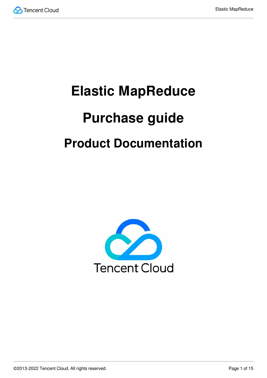

# **Elastic MapReduce Purchase guide Product Documentation**

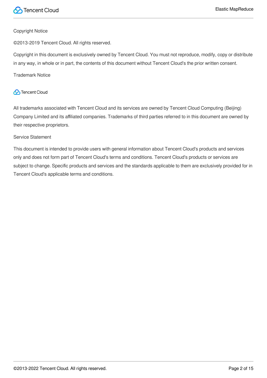

#### Copyright Notice

©2013-2019 Tencent Cloud. All rights reserved.

Copyright in this document is exclusively owned by Tencent Cloud. You must not reproduce, modify, copy or distribute in any way, in whole or in part, the contents of this document without Tencent Cloud's the prior written consent.

Trademark Notice

#### **C** Tencent Cloud

All trademarks associated with Tencent Cloud and its services are owned by Tencent Cloud Computing (Beijing) Company Limited and its affiliated companies. Trademarks of third parties referred to in this document are owned by their respective proprietors.

#### Service Statement

This document is intended to provide users with general information about Tencent Cloud's products and services only and does not form part of Tencent Cloud's terms and conditions. Tencent Cloud's products or services are subject to change. Specific products and services and the standards applicable to them are exclusively provided for in Tencent Cloud's applicable terms and conditions.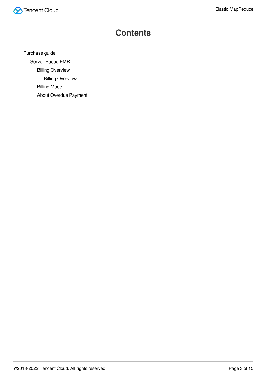

## **Contents**

[Purchase](#page-3-0) guide

[Server-Based](#page-3-1) EMR

Billing [Overview](#page-3-2)

Billing [Overview](#page-3-3)

[Billing](#page-12-0) Mode

About Overdue [Payment](#page-13-0)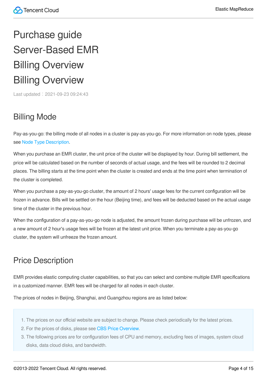## <span id="page-3-2"></span><span id="page-3-1"></span><span id="page-3-0"></span>Purchase guide Server-Based EMR Billing Overview Billing Overview

<span id="page-3-3"></span>Last updated: 2021-09-23 09:24:43

## Billing Mode

Pay-as-you-go: the billing mode of all nodes in a cluster is pay-as-you-go. For more information on node types, please see Node Type [Description.](https://intl.cloud.tencent.com/document/product/1026/31094)

When you purchase an EMR cluster, the unit price of the cluster will be displayed by hour. During bill settlement, the price will be calculated based on the number of seconds of actual usage, and the fees will be rounded to 2 decimal places. The billing starts at the time point when the cluster is created and ends at the time point when termination of the cluster is completed.

When you purchase a pay-as-you-go cluster, the amount of 2 hours' usage fees for the current configuration will be frozen in advance. Bills will be settled on the hour (Beijing time), and fees will be deducted based on the actual usage time of the cluster in the previous hour.

When the configuration of a pay-as-you-go node is adjusted, the amount frozen during purchase will be unfrozen, and a new amount of 2 hour's usage fees will be frozen at the latest unit price. When you terminate a pay-as-you-go cluster, the system will unfreeze the frozen amount.

## Price Description

EMR provides elastic computing cluster capabilities, so that you can select and combine multiple EMR specifications in a customized manner. EMR fees will be charged for all nodes in each cluster.

The prices of nodes in Beijing, Shanghai, and Guangzhou regions are as listed below:

- 1. The prices on our official website are subject to change. Please check periodically for the latest prices.
- 2. For the prices of disks, please see CBS Price [Overview.](https://intl.cloud.tencent.com/document/product/362/2413)
- 3. The following prices are for configuration fees of CPU and memory, excluding fees of images, system cloud disks, data cloud disks, and bandwidth.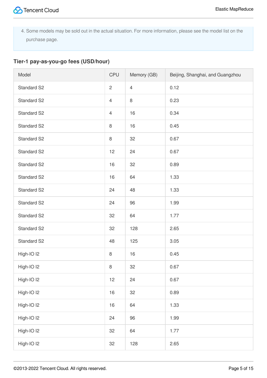4. Some models may be sold out in the actual situation. For more information, please see the model list on the purchase page.

#### **Tier-1 pay-as-you-go fees (USD/hour)**

| Model                 | <b>CPU</b>     | Memory (GB)    | Beijing, Shanghai, and Guangzhou |
|-----------------------|----------------|----------------|----------------------------------|
| Standard S2           | $\overline{c}$ | $\overline{4}$ | 0.12                             |
| Standard S2           | $\overline{4}$ | $\,8\,$        | 0.23                             |
| Standard S2           | $\overline{4}$ | 16             | 0.34                             |
| <b>Standard S2</b>    | $\,8\,$        | 16             | 0.45                             |
| Standard S2           | $\,8\,$        | 32             | 0.67                             |
| Standard S2           | 12             | 24             | 0.67                             |
| <b>Standard S2</b>    | 16             | 32             | 0.89                             |
| Standard S2           | 16             | 64             | 1.33                             |
| Standard S2           | 24             | 48             | 1.33                             |
| Standard S2           | 24             | 96             | 1.99                             |
| Standard S2           | 32             | 64             | 1.77                             |
| Standard S2           | 32             | 128            | 2.65                             |
| Standard S2           | 48             | 125            | 3.05                             |
| High-IO <sub>12</sub> | $\,8\,$        | 16             | 0.45                             |
| High-IO I2            | 8              | 32             | 0.67                             |
| High-IO <sub>12</sub> | 12             | 24             | 0.67                             |
| High-IO <sub>12</sub> | $16$           | 32             | 0.89                             |
| High-IO I2            | 16             | 64             | 1.33                             |
| High-IO I2            | 24             | 96             | 1.99                             |
| High-IO <sub>12</sub> | 32             | 64             | 1.77                             |
| High-IO I2            | 32             | 128            | 2.65                             |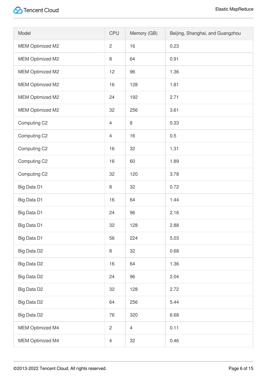| Model                   | <b>CPU</b>     | Memory (GB)    | Beijing, Shanghai, and Guangzhou |
|-------------------------|----------------|----------------|----------------------------------|
| <b>MEM Optimized M2</b> | $\overline{c}$ | 16             | 0.23                             |
| <b>MEM Optimized M2</b> | 8              | 64             | 0.91                             |
| MEM Optimized M2        | 12             | 96             | 1.36                             |
| MEM Optimized M2        | 16             | 128            | 1.81                             |
| MEM Optimized M2        | 24             | 192            | 2.71                             |
| <b>MEM Optimized M2</b> | 32             | 256            | 3.61                             |
| Computing C2            | $\overline{4}$ | $\,8\,$        | 0.33                             |
| Computing C2            | $\overline{4}$ | 16             | 0.5                              |
| Computing C2            | 16             | 32             | 1.31                             |
| Computing C2            | 16             | 60             | 1.89                             |
| Computing C2            | 32             | 120            | 3.78                             |
| Big Data D1             | 8              | 32             | 0.72                             |
| Big Data D1             | 16             | 64             | 1.44                             |
| Big Data D1             | 24             | 96             | 2.16                             |
| Big Data D1             | 32             | 128            | 2.88                             |
| Big Data D1             | 56             | 224            | 5.03                             |
| Big Data D2             | 8              | 32             | 0.68                             |
| Big Data D2             | 16             | 64             | 1.36                             |
| Big Data D2             | 24             | 96             | 2.04                             |
| Big Data D2             | 32             | 128            | 2.72                             |
| Big Data D2             | 64             | 256            | 5.44                             |
| Big Data D2             | 76             | 320            | 6.68                             |
| <b>MEM Optimized M4</b> | $\mathbf{2}$   | $\overline{4}$ | 0.11                             |
| MEM Optimized M4        | $\overline{4}$ | 32             | 0.46                             |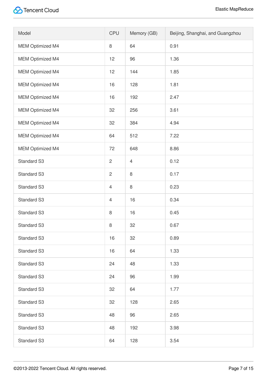| Model                   | <b>CPU</b>     | Memory (GB)    | Beijing, Shanghai, and Guangzhou |
|-------------------------|----------------|----------------|----------------------------------|
| <b>MEM Optimized M4</b> | 8              | 64             | 0.91                             |
| <b>MEM Optimized M4</b> | 12             | 96             | 1.36                             |
| MEM Optimized M4        | 12             | 144            | 1.85                             |
| MEM Optimized M4        | 16             | 128            | 1.81                             |
| MEM Optimized M4        | 16             | 192            | 2.47                             |
| <b>MEM Optimized M4</b> | 32             | 256            | 3.61                             |
| MEM Optimized M4        | 32             | 384            | 4.94                             |
| <b>MEM Optimized M4</b> | 64             | 512            | 7.22                             |
| MEM Optimized M4        | 72             | 648            | 8.86                             |
| <b>Standard S3</b>      | $\mathbf{2}$   | $\overline{4}$ | 0.12                             |
| <b>Standard S3</b>      | $\mathbf{2}$   | $\,8\,$        | 0.17                             |
| <b>Standard S3</b>      | $\overline{4}$ | $\,8\,$        | 0.23                             |
| Standard S3             | $\overline{4}$ | 16             | 0.34                             |
| Standard S3             | 8              | 16             | 0.45                             |
| Standard S3             | 8              | 32             | 0.67                             |
| <b>Standard S3</b>      | 16             | 32             | 0.89                             |
| <b>Standard S3</b>      | 16             | 64             | 1.33                             |
| <b>Standard S3</b>      | 24             | 48             | 1.33                             |
| Standard S3             | 24             | 96             | 1.99                             |
| <b>Standard S3</b>      | 32             | 64             | 1.77                             |
| Standard S3             | 32             | 128            | 2.65                             |
| <b>Standard S3</b>      | 48             | 96             | 2.65                             |
| <b>Standard S3</b>      | 48             | 192            | 3.98                             |
| <b>Standard S3</b>      | 64             | 128            | 3.54                             |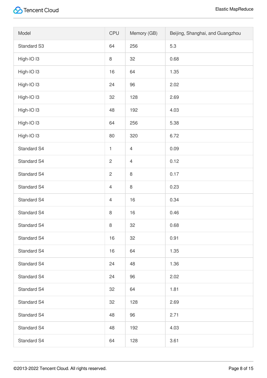| Model                 | <b>CPU</b>     | Memory (GB)    | Beijing, Shanghai, and Guangzhou |
|-----------------------|----------------|----------------|----------------------------------|
| Standard S3           | 64             | 256            | 5.3                              |
| High-IO <sub>13</sub> | $\,8\,$        | 32             | 0.68                             |
| High-IO I3            | 16             | 64             | 1.35                             |
| High-IO <sub>13</sub> | 24             | 96             | 2.02                             |
| High-IO I3            | 32             | 128            | 2.69                             |
| High-IO <sub>13</sub> | 48             | 192            | 4.03                             |
| High-IO <sub>13</sub> | 64             | 256            | 5.38                             |
| High-IO I3            | 80             | 320            | 6.72                             |
| Standard S4           | $\mathbf{1}$   | $\overline{4}$ | 0.09                             |
| Standard S4           | $\sqrt{2}$     | $\overline{4}$ | 0.12                             |
| Standard S4           | $\overline{c}$ | $\,8\,$        | 0.17                             |
| Standard S4           | $\overline{4}$ | 8              | 0.23                             |
| Standard S4           | $\overline{4}$ | 16             | 0.34                             |
| Standard S4           | $\,8\,$        | 16             | 0.46                             |
| Standard S4           | $\,8\,$        | 32             | 0.68                             |
| Standard S4           | 16             | 32             | 0.91                             |
| Standard S4           | 16             | 64             | 1.35                             |
| <b>Standard S4</b>    | 24             | 48             | 1.36                             |
| Standard S4           | 24             | 96             | 2.02                             |
| Standard S4           | 32             | 64             | 1.81                             |
| Standard S4           | 32             | 128            | 2.69                             |
| Standard S4           | 48             | 96             | 2.71                             |
| Standard S4           | 48             | 192            | 4.03                             |
| Standard S4           | 64             | 128            | 3.61                             |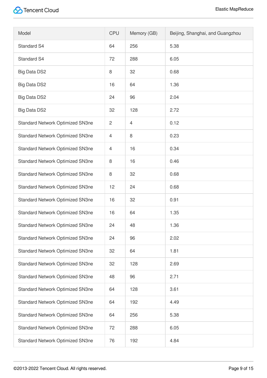| Model                                   | <b>CPU</b>     | Memory (GB)    | Beijing, Shanghai, and Guangzhou |
|-----------------------------------------|----------------|----------------|----------------------------------|
| <b>Standard S4</b>                      | 64             | 256            | 5.38                             |
| <b>Standard S4</b>                      | 72             | 288            | 6.05                             |
| <b>Big Data DS2</b>                     | 8              | 32             | 0.68                             |
| <b>Big Data DS2</b>                     | 16             | 64             | 1.36                             |
| <b>Big Data DS2</b>                     | 24             | 96             | 2.04                             |
| <b>Big Data DS2</b>                     | 32             | 128            | 2.72                             |
| Standard Network Optimized SN3ne        | $\overline{c}$ | $\overline{4}$ | 0.12                             |
| Standard Network Optimized SN3ne        | $\overline{4}$ | 8              | 0.23                             |
| <b>Standard Network Optimized SN3ne</b> | 4              | 16             | 0.34                             |
| Standard Network Optimized SN3ne        | 8              | 16             | 0.46                             |
| Standard Network Optimized SN3ne        | 8              | 32             | 0.68                             |
| Standard Network Optimized SN3ne        | 12             | 24             | 0.68                             |
| Standard Network Optimized SN3ne        | 16             | 32             | 0.91                             |
| Standard Network Optimized SN3ne        | 16             | 64             | 1.35                             |
| <b>Standard Network Optimized SN3ne</b> | 24             | 48             | 1.36                             |
| Standard Network Optimized SN3ne        | 24             | 96             | 2.02                             |
| Standard Network Optimized SN3ne        | 32             | 64             | 1.81                             |
| Standard Network Optimized SN3ne        | 32             | 128            | 2.69                             |
| Standard Network Optimized SN3ne        | 48             | 96             | 2.71                             |
| Standard Network Optimized SN3ne        | 64             | 128            | 3.61                             |
| <b>Standard Network Optimized SN3ne</b> | 64             | 192            | 4.49                             |
| Standard Network Optimized SN3ne        | 64             | 256            | 5.38                             |
| Standard Network Optimized SN3ne        | 72             | 288            | 6.05                             |
| Standard Network Optimized SN3ne        | 76             | 192            | 4.84                             |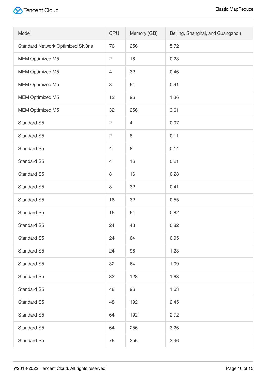| Model                            | <b>CPU</b>     | Memory (GB)    | Beijing, Shanghai, and Guangzhou |
|----------------------------------|----------------|----------------|----------------------------------|
| Standard Network Optimized SN3ne | 76             | 256            | 5.72                             |
| <b>MEM Optimized M5</b>          | $\overline{c}$ | 16             | 0.23                             |
| MEM Optimized M5                 | $\overline{4}$ | 32             | 0.46                             |
| <b>MEM Optimized M5</b>          | 8              | 64             | 0.91                             |
| <b>MEM Optimized M5</b>          | 12             | 96             | 1.36                             |
| MEM Optimized M5                 | 32             | 256            | 3.61                             |
| Standard S5                      | $\overline{c}$ | $\overline{4}$ | 0.07                             |
| Standard S5                      | $\mathbf{2}$   | $\,8\,$        | 0.11                             |
| Standard S5                      | $\overline{4}$ | $\,8\,$        | 0.14                             |
| Standard S5                      | $\overline{4}$ | 16             | 0.21                             |
| Standard S5                      | $\,8\,$        | 16             | 0.28                             |
| Standard S5                      | 8              | 32             | 0.41                             |
| Standard S5                      | 16             | 32             | 0.55                             |
| Standard S5                      | 16             | 64             | 0.82                             |
| Standard S5                      | 24             | 48             | 0.82                             |
| Standard S5                      | 24             | 64             | 0.95                             |
| Standard S5                      | 24             | 96             | 1.23                             |
| Standard S5                      | 32             | 64             | 1.09                             |
| Standard S5                      | 32             | 128            | 1.63                             |
| Standard S5                      | 48             | 96             | 1.63                             |
| Standard S5                      | 48             | 192            | 2.45                             |
| Standard S5                      | 64             | 192            | 2.72                             |
| Standard S5                      | 64             | 256            | 3.26                             |
| Standard S5                      | 76             | 256            | 3.46                             |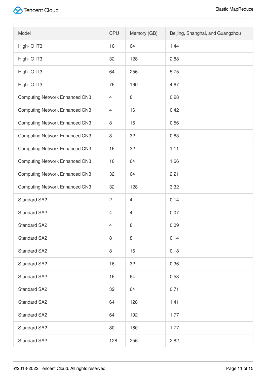| Model                                 | <b>CPU</b>     | Memory (GB)    | Beijing, Shanghai, and Guangzhou |
|---------------------------------------|----------------|----------------|----------------------------------|
| High-IO IT3                           | 16             | 64             | 1.44                             |
| High-IO IT3                           | 32             | 128            | 2.88                             |
| High-IO IT3                           | 64             | 256            | 5.75                             |
| High-IO IT3                           | 76             | 160            | 4.67                             |
| <b>Computing Network Enhanced CN3</b> | $\overline{4}$ | 8              | 0.28                             |
| <b>Computing Network Enhanced CN3</b> | $\overline{4}$ | 16             | 0.42                             |
| <b>Computing Network Enhanced CN3</b> | 8              | 16             | 0.56                             |
| <b>Computing Network Enhanced CN3</b> | 8              | 32             | 0.83                             |
| <b>Computing Network Enhanced CN3</b> | 16             | 32             | 1.11                             |
| <b>Computing Network Enhanced CN3</b> | 16             | 64             | 1.66                             |
| <b>Computing Network Enhanced CN3</b> | 32             | 64             | 2.21                             |
| <b>Computing Network Enhanced CN3</b> | 32             | 128            | 3.32                             |
| <b>Standard SA2</b>                   | $\overline{2}$ | $\overline{4}$ | 0.14                             |
| <b>Standard SA2</b>                   | $\overline{4}$ | $\overline{4}$ | 0.07                             |
| <b>Standard SA2</b>                   | 4              | $\,8\,$        | 0.09                             |
| <b>Standard SA2</b>                   | 8              | $\,8\,$        | 0.14                             |
| <b>Standard SA2</b>                   | 8              | 16             | 0.18                             |
| <b>Standard SA2</b>                   | 16             | 32             | 0.36                             |
| <b>Standard SA2</b>                   | 16             | 64             | 0.53                             |
| <b>Standard SA2</b>                   | 32             | 64             | 0.71                             |
| <b>Standard SA2</b>                   | 64             | 128            | 1.41                             |
| <b>Standard SA2</b>                   | 64             | 192            | 1.77                             |
| <b>Standard SA2</b>                   | 80             | 160            | 1.77                             |
| <b>Standard SA2</b>                   | 128            | 256            | 2.82                             |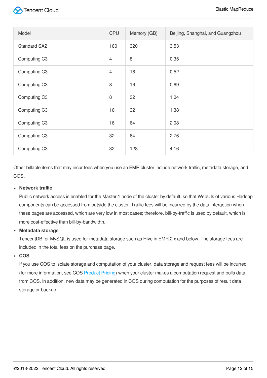| Model               | <b>CPU</b>     | Memory (GB) | Beijing, Shanghai, and Guangzhou |
|---------------------|----------------|-------------|----------------------------------|
| <b>Standard SA2</b> | 160            | 320         | 3.53                             |
| Computing C3        | $\overline{4}$ | 8           | 0.35                             |
| Computing C3        | $\overline{4}$ | 16          | 0.52                             |
| Computing C3        | 8              | 16          | 0.69                             |
| Computing C3        | 8              | 32          | 1.04                             |
| Computing C3        | 16             | 32          | 1.38                             |
| Computing C3        | 16             | 64          | 2.08                             |
| Computing C3        | 32             | 64          | 2.76                             |
| Computing C3        | 32             | 128         | 4.16                             |

Other billable items that may incur fees when you use an EMR cluster include network traffic, metadata storage, and COS.

#### **Network traffic**

Public network access is enabled for the Master.1 node of the cluster by default, so that WebUIs of various Hadoop components can be accessed from outside the cluster. Traffic fees will be incurred by the data interaction when these pages are accessed, which are very low in most cases; therefore, bill-by-traffic is used by default, which is more cost-effective than bill-by-bandwidth.

#### **Metadata storage**

TencentDB for MySQL is used for metadata storage such as Hive in EMR 2.x and below. The storage fees are included in the total fees on the purchase page.

#### **COS**

If you use COS to isolate storage and computation of your cluster, data storage and request fees will be incurred (for more information, see COS [Product](https://intl.cloud.tencent.com/document/product/436/6239) Pricing) when your cluster makes a computation request and pulls data from COS. In addition, new data may be generated in COS during computation for the purposes of result data storage or backup.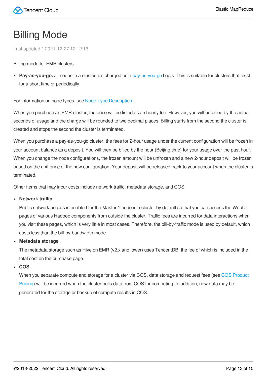## <span id="page-12-0"></span>Billing Mode

Last updated:2021-12-27 12:12:16

Billing mode for EMR clusters:

**Pay-as-you-go:** all nodes in a cluster are charged on a [pay-as-you-go](https://intl.cloud.tencent.com/document/product/555/30328) basis. This is suitable for clusters that exist for a short time or periodically.

For information on node types, see Node Type [Description.](https://intl.cloud.tencent.com/document/product/1026/31094)

When you purchase an EMR cluster, the price will be listed as an hourly fee. However, you will be billed by the actual seconds of usage and the charge will be rounded to two decimal places. Billing starts from the second the cluster is created and stops the second the cluster is terminated.

When you purchase a pay-as-you-go cluster, the fees for 2-hour usage under the current configuration will be frozen in your account balance as a deposit. You will then be billed by the hour (Beijing time) for your usage over the past hour. When you change the node configurations, the frozen amount will be unfrozen and a new 2-hour deposit will be frozen based on the unit price of the new configuration. Your deposit will be released back to your account when the cluster is terminated.

Other items that may incur costs include network traffic, metadata storage, and COS.

#### **Network traffic**

Public network access is enabled for the Master.1 node in a cluster by default so that you can access the WebUI pages of various Hadoop components from outside the cluster. Traffic fees are incurred for data interactions when you visit these pages, which is very little in most cases. Therefore, the bill-by-traffic mode is used by default, which costs less than the bill-by-bandwidth mode.

#### **Metadata storage**

The metadata storage such as Hive on EMR (v2.x and lower) uses TencentDB, the fee of which is included in the total cost on the purchase page.

#### **COS**

When you separate compute and storage for [a cluster via COS, data storage and request fees \(see](https://buy.intl.cloud.tencent.com/price/cos) COS Product Pricing) will be incurred when the cluster pulls data from COS for computing. In addition, new data may be generated for the storage or backup of compute results in COS.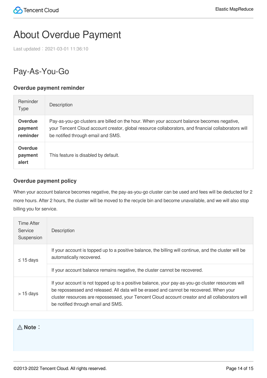## <span id="page-13-0"></span>About Overdue Payment

Last updated:2021-03-01 11:36:10

## Pay-As-You-Go

#### **Overdue payment reminder**

| Reminder<br><b>Type</b>               | <b>Description</b>                                                                                                                                                                                                                      |
|---------------------------------------|-----------------------------------------------------------------------------------------------------------------------------------------------------------------------------------------------------------------------------------------|
| <b>Overdue</b><br>payment<br>reminder | Pay-as-you-go clusters are billed on the hour. When your account balance becomes negative,<br>your Tencent Cloud account creator, global resource collaborators, and financial collaborators will<br>be notified through email and SMS. |
| <b>Overdue</b><br>payment<br>alert    | This feature is disabled by default.                                                                                                                                                                                                    |

#### **Overdue payment policy**

When your account balance becomes negative, the pay-as-you-go cluster can be used and fees will be deducted for 2 more hours. After 2 hours, the cluster will be moved to the recycle bin and become unavailable, and we will also stop billing you for service.

| <b>Time After</b><br>Service<br>Suspension | <b>Description</b>                                                                                                                                                                                                                                                                                                                     |
|--------------------------------------------|----------------------------------------------------------------------------------------------------------------------------------------------------------------------------------------------------------------------------------------------------------------------------------------------------------------------------------------|
| $\leq$ 15 days                             | If your account is topped up to a positive balance, the billing will continue, and the cluster will be<br>automatically recovered.                                                                                                                                                                                                     |
|                                            | If your account balance remains negative, the cluster cannot be recovered.                                                                                                                                                                                                                                                             |
| $> 15$ days                                | If your account is not topped up to a positive balance, your pay-as-you-go cluster resources will<br>be repossessed and released. All data will be erased and cannot be recovered. When your<br>cluster resources are repossessed, your Tencent Cloud account creator and all collaborators will<br>be notified through email and SMS. |

**Note**: